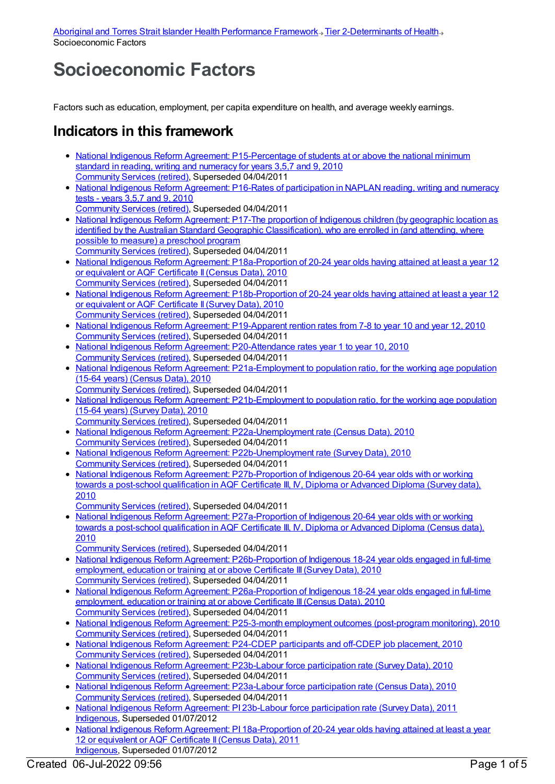## **Socioeconomic Factors**

Factors such as education, employment, per capita expenditure on health, and average weekly earnings.

## **Indicators in this framework**

- National Indigenous Reform Agreement: [P15-Percentage](https://meteor.aihw.gov.au/content/396578) of students at or above the national minimum standard in reading, writing and numeracy for years 3,5,7 and 9, 2010 [Community](https://meteor.aihw.gov.au/RegistrationAuthority/1) Services (retired), Superseded 04/04/2011
- National Indigenous Reform Agreement: P16-Rates of [participation](https://meteor.aihw.gov.au/content/396594) in NAPLAN reading, writing and numeracy tests - years 3,5,7 and 9, 2010
- [Community](https://meteor.aihw.gov.au/RegistrationAuthority/1) Services (retired), Superseded 04/04/2011
- National Indigenous Reform Agreement: P17-The proportion of Indigenous children (by geographic location as identified by the Australian Standard Geographic [Classification\),](https://meteor.aihw.gov.au/content/396598) who are enrolled in (and attending, where possible to measure) a preschool program [Community](https://meteor.aihw.gov.au/RegistrationAuthority/1) Services (retired), Superseded 04/04/2011
- National Indigenous Reform Agreement: [P18a-Proportion](https://meteor.aihw.gov.au/content/396604) of 20-24 year olds having attained at least a year 12 or equivalent or AQF Certificate II (Census Data), 2010 [Community](https://meteor.aihw.gov.au/RegistrationAuthority/1) Services (retired), Superseded 04/04/2011
- National Indigenous Reform Agreement: [P18b-Proportion](https://meteor.aihw.gov.au/content/396896) of 20-24 year olds having attained at least a year 12 or equivalent or AQF Certificate II (Survey Data), 2010 [Community](https://meteor.aihw.gov.au/RegistrationAuthority/1) Services (retired), Superseded 04/04/2011
- National Indigenous Reform Agreement: [P19-Apparent](https://meteor.aihw.gov.au/content/396609) rention rates from 7-8 to year 10 and year 12, 2010 [Community](https://meteor.aihw.gov.au/RegistrationAuthority/1) Services (retired), Superseded 04/04/2011
- National Indigenous Reform Agreement: [P20-Attendance](https://meteor.aihw.gov.au/content/396617) rates year 1 to year 10, 2010 [Community](https://meteor.aihw.gov.au/RegistrationAuthority/1) Services (retired), Superseded 04/04/2011
- National Indigenous Reform Agreement: [P21a-Employment](https://meteor.aihw.gov.au/content/396621) to population ratio, for the working age population (15-64 years) (Census Data), 2010 [Community](https://meteor.aihw.gov.au/RegistrationAuthority/1) Services (retired), Superseded 04/04/2011
- National Indigenous Reform Agreement: [P21b-Employment](https://meteor.aihw.gov.au/content/396902) to population ratio, for the working age population (15-64 years) (Survey Data), 2010 [Community](https://meteor.aihw.gov.au/RegistrationAuthority/1) Services (retired), Superseded 04/04/2011
- National Indigenous Reform Agreement: [P22a-Unemployment](https://meteor.aihw.gov.au/content/396630) rate (Census Data), 2010 [Community](https://meteor.aihw.gov.au/RegistrationAuthority/1) Services (retired), Superseded 04/04/2011
- National Indigenous Reform Agreement: [P22b-Unemployment](https://meteor.aihw.gov.au/content/396905) rate (Survey Data), 2010 [Community](https://meteor.aihw.gov.au/RegistrationAuthority/1) Services (retired), Superseded 04/04/2011
- National Indigenous Reform Agreement: [P27b-Proportion](https://meteor.aihw.gov.au/content/396918) of Indigenous 20-64 year olds with or working towards a post-school qualification in AQF Certificate III, IV, Diploma or Advanced Diploma (Survey data), 2010
- [Community](https://meteor.aihw.gov.au/RegistrationAuthority/1) Services (retired), Superseded 04/04/2011
- National Indigenous Reform Agreement: [P27a-Proportion](https://meteor.aihw.gov.au/content/396658) of Indigenous 20-64 year olds with or working towards a post-school qualification in AQF Certificate III, IV, Diploma or Advanced Diploma (Census data), 2010
	- [Community](https://meteor.aihw.gov.au/RegistrationAuthority/1) Services (retired), Superseded 04/04/2011
- National Indigenous Reform Agreement: [P26b-Proportion](https://meteor.aihw.gov.au/content/396915) of Indigenous 18-24 year olds engaged in full-time employment, education or training at or above Certificate III (Survey Data), 2010 [Community](https://meteor.aihw.gov.au/RegistrationAuthority/1) Services (retired), Superseded 04/04/2011
- National Indigenous Reform Agreement: [P26a-Proportion](https://meteor.aihw.gov.au/content/396647) of Indigenous 18-24 year olds engaged in full-time employment, education or training at or above Certificate III(Census Data), 2010 [Community](https://meteor.aihw.gov.au/RegistrationAuthority/1) Services (retired), Superseded 04/04/2011
- National Indigenous Reform Agreement: P25-3-month employment outcomes [\(post-program](https://meteor.aihw.gov.au/content/396640) monitoring), 2010 [Community](https://meteor.aihw.gov.au/RegistrationAuthority/1) Services (retired), Superseded 04/04/2011
- National Indigenous Reform [Agreement:](https://meteor.aihw.gov.au/content/396637) P24-CDEP participants and off-CDEP job placement, 2010 [Community](https://meteor.aihw.gov.au/RegistrationAuthority/1) Services (retired), Superseded 04/04/2011
- National Indigenous Reform Agreement: [P23b-Labour](https://meteor.aihw.gov.au/content/396912) force participation rate (Survey Data), 2010 [Community](https://meteor.aihw.gov.au/RegistrationAuthority/1) Services (retired), Superseded 04/04/2011
- National Indigenous Reform Agreement: [P23a-Labour](https://meteor.aihw.gov.au/content/396632) force participation rate (Census Data), 2010 [Community](https://meteor.aihw.gov.au/RegistrationAuthority/1) Services (retired), Superseded 04/04/2011
- National Indigenous Reform Agreement: PI 23b-Labour force [participation](https://meteor.aihw.gov.au/content/425803) rate (Survey Data), 2011 [Indigenous](https://meteor.aihw.gov.au/RegistrationAuthority/6), Superseded 01/07/2012
- National Indigenous Reform Agreement: PI [18a-Proportion](https://meteor.aihw.gov.au/content/425785) of 20-24 year olds having attained at least a year 12 or equivalent or AQF Certificate II (Census Data), 2011 [Indigenous](https://meteor.aihw.gov.au/RegistrationAuthority/6), Superseded 01/07/2012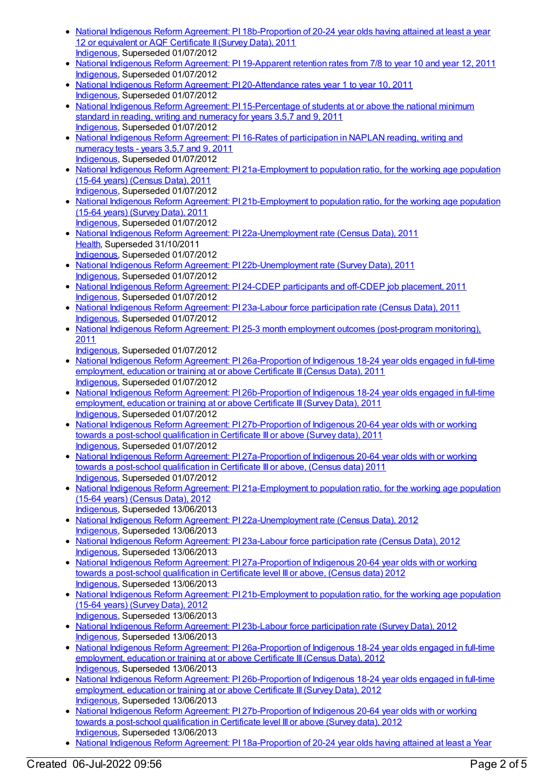- National Indigenous Reform Agreement: PI [18b-Proportion](https://meteor.aihw.gov.au/content/425787) of 20-24 year olds having attained at least a year 12 or equivalent or AQF Certificate II (Survey Data), 2011 [Indigenous](https://meteor.aihw.gov.au/RegistrationAuthority/6), Superseded 01/07/2012
- National Indigenous Reform Agreement: PI [19-Apparent](https://meteor.aihw.gov.au/content/425789) retention rates from 7/8 to year 10 and year 12, 2011 [Indigenous](https://meteor.aihw.gov.au/RegistrationAuthority/6), Superseded 01/07/2012
- National Indigenous Reform Agreement: PI [20-Attendance](https://meteor.aihw.gov.au/content/425791) rates year 1 to year 10, 2011 [Indigenous](https://meteor.aihw.gov.au/RegistrationAuthority/6), Superseded 01/07/2012
- National Indigenous Reform Agreement: PI [15-Percentage](https://meteor.aihw.gov.au/content/425777) of students at or above the national minimum standard in reading, writing and numeracy for years 3,5,7 and 9, 2011 [Indigenous](https://meteor.aihw.gov.au/RegistrationAuthority/6), Superseded 01/07/2012
- National Indigenous Reform Agreement: PI 16-Rates of [participation](https://meteor.aihw.gov.au/content/425781) in NAPLAN reading, writing and numeracy tests - years 3,5,7 and 9, 2011 [Indigenous](https://meteor.aihw.gov.au/RegistrationAuthority/6), Superseded 01/07/2012
- National Indigenous Reform Agreement: PI [21a-Employment](https://meteor.aihw.gov.au/content/425793) to population ratio, for the working age population (15-64 years) (Census Data), 2011 [Indigenous](https://meteor.aihw.gov.au/RegistrationAuthority/6), Superseded 01/07/2012
- National Indigenous Reform Agreement: PI [21b-Employment](https://meteor.aihw.gov.au/content/425795) to population ratio, for the working age population (15-64 years) (Survey Data), 2011 [Indigenous](https://meteor.aihw.gov.au/RegistrationAuthority/6), Superseded 01/07/2012
- National Indigenous Reform Agreement: PI [22a-Unemployment](https://meteor.aihw.gov.au/content/425797) rate (Census Data), 2011 [Health](https://meteor.aihw.gov.au/RegistrationAuthority/12), Superseded 31/10/2011 [Indigenous](https://meteor.aihw.gov.au/RegistrationAuthority/6), Superseded 01/07/2012
- National Indigenous Reform Agreement: PI [22b-Unemployment](https://meteor.aihw.gov.au/content/425799) rate (Survey Data), 2011 [Indigenous](https://meteor.aihw.gov.au/RegistrationAuthority/6), Superseded 01/07/2012
- National Indigenous Reform [Agreement:](https://meteor.aihw.gov.au/content/425805) PI 24-CDEP participants and off-CDEP job placement, 2011 [Indigenous](https://meteor.aihw.gov.au/RegistrationAuthority/6), Superseded 01/07/2012
- National Indigenous Reform Agreement: PI 23a-Labour force [participation](https://meteor.aihw.gov.au/content/425801) rate (Census Data), 2011 [Indigenous](https://meteor.aihw.gov.au/RegistrationAuthority/6), Superseded 01/07/2012
- National Indigenous Reform Agreement: PI 25-3 month employment outcomes [\(post-program](https://meteor.aihw.gov.au/content/425807) monitoring), 2011
	- [Indigenous](https://meteor.aihw.gov.au/RegistrationAuthority/6), Superseded 01/07/2012
- National Indigenous Reform Agreement: PI [26a-Proportion](https://meteor.aihw.gov.au/content/425809) of Indigenous 18-24 year olds engaged in full-time employment, education or training at or above Certificate III (Census Data), 2011 [Indigenous](https://meteor.aihw.gov.au/RegistrationAuthority/6), Superseded 01/07/2012
- National Indigenous Reform Agreement: PI [26b-Proportion](https://meteor.aihw.gov.au/content/425811) of Indigenous 18-24 year olds engaged in full-time employment, education or training at or above Certificate III (Survey Data), 2011 [Indigenous](https://meteor.aihw.gov.au/RegistrationAuthority/6), Superseded 01/07/2012
- National Indigenous Reform Agreement: PI [27b-Proportion](https://meteor.aihw.gov.au/content/425815) of Indigenous 20-64 year olds with or working towards a post-school qualification in Certificate III or above (Survey data), 2011 [Indigenous](https://meteor.aihw.gov.au/RegistrationAuthority/6), Superseded 01/07/2012
- National Indigenous Reform Agreement: PI [27a-Proportion](https://meteor.aihw.gov.au/content/425813) of Indigenous 20-64 year olds with or working towards a post-school qualification in Certificate III or above, (Census data) 2011 [Indigenous](https://meteor.aihw.gov.au/RegistrationAuthority/6), Superseded 01/07/2012
- National Indigenous Reform Agreement: PI [21a-Employment](https://meteor.aihw.gov.au/content/438695) to population ratio, for the working age population (15-64 years) (Census Data), 2012 [Indigenous](https://meteor.aihw.gov.au/RegistrationAuthority/6), Superseded 13/06/2013
- National Indigenous Reform Agreement: PI [22a-Unemployment](https://meteor.aihw.gov.au/content/438703) rate (Census Data), 2012 [Indigenous](https://meteor.aihw.gov.au/RegistrationAuthority/6), Superseded 13/06/2013
- National Indigenous Reform Agreement: PI 23a-Labour force [participation](https://meteor.aihw.gov.au/content/438716) rate (Census Data), 2012 [Indigenous](https://meteor.aihw.gov.au/RegistrationAuthority/6), Superseded 13/06/2013
- National Indigenous Reform Agreement: PI [27a-Proportion](https://meteor.aihw.gov.au/content/438744) of Indigenous 20-64 year olds with or working towards a post-school qualification in Certificate level III or above, (Census data) 2012 [Indigenous](https://meteor.aihw.gov.au/RegistrationAuthority/6), Superseded 13/06/2013
- National Indigenous Reform Agreement: PI [21b-Employment](https://meteor.aihw.gov.au/content/438700) to population ratio, for the working age population (15-64 years) (Survey Data), 2012 [Indigenous](https://meteor.aihw.gov.au/RegistrationAuthority/6), Superseded 13/06/2013
- National Indigenous Reform Agreement: PI 23b-Labour force [participation](https://meteor.aihw.gov.au/content/438718) rate (Survey Data), 2012 [Indigenous](https://meteor.aihw.gov.au/RegistrationAuthority/6), Superseded 13/06/2013
- National Indigenous Reform Agreement: PI [26a-Proportion](https://meteor.aihw.gov.au/content/438735) of Indigenous 18-24 year olds engaged in full-time employment, education or training at or above Certificate III (Census Data), 2012 [Indigenous](https://meteor.aihw.gov.au/RegistrationAuthority/6), Superseded 13/06/2013
- National Indigenous Reform Agreement: PI [26b-Proportion](https://meteor.aihw.gov.au/content/438740) of Indigenous 18-24 year olds engaged in full-time employment, education or training at or above Certificate III (Survey Data), 2012 [Indigenous](https://meteor.aihw.gov.au/RegistrationAuthority/6), Superseded 13/06/2013
- National Indigenous Reform Agreement: PI [27b-Proportion](https://meteor.aihw.gov.au/content/438747) of Indigenous 20-64 year olds with or working towards a post-school qualification in Certificate level III or above (Survey data), 2012 [Indigenous](https://meteor.aihw.gov.au/RegistrationAuthority/6), Superseded 13/06/2013
- National Indigenous Reform Agreement: PI [18a-Proportion](https://meteor.aihw.gov.au/content/438667) of 20-24 year olds having attained at least a Year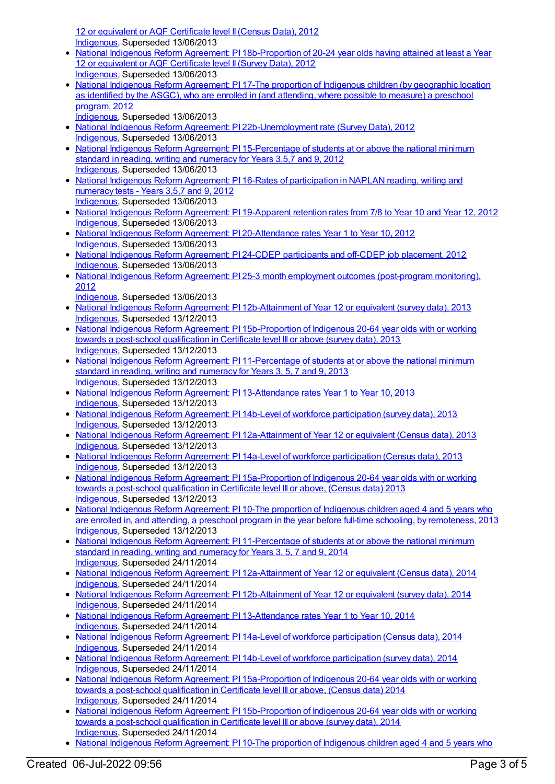12 or equivalent or AQF Certificate level II (Census Data), 2012 [Indigenous](https://meteor.aihw.gov.au/RegistrationAuthority/6), Superseded 13/06/2013

- National Indigenous Reform Agreement: PI [18b-Proportion](https://meteor.aihw.gov.au/content/438675) of 20-24 year olds having attained at least a Year 12 or equivalent or AQF Certificate level II (Survey Data), 2012 [Indigenous](https://meteor.aihw.gov.au/RegistrationAuthority/6), Superseded 13/06/2013
- National Indigenous Reform [Agreement:](https://meteor.aihw.gov.au/content/438664) PI 17-The proportion of Indigenous children (by geographic location as identified by the ASGC), who are enrolled in (and attending, where possible to measure) a preschool program, 2012
- [Indigenous](https://meteor.aihw.gov.au/RegistrationAuthority/6), Superseded 13/06/2013
- National Indigenous Reform Agreement: PI [22b-Unemployment](https://meteor.aihw.gov.au/content/438709) rate (Survey Data), 2012 [Indigenous](https://meteor.aihw.gov.au/RegistrationAuthority/6), Superseded 13/06/2013
- National Indigenous Reform Agreement: PI [15-Percentage](https://meteor.aihw.gov.au/content/438652) of students at or above the national minimum standard in reading, writing and numeracy for Years 3,5,7 and 9, 2012 [Indigenous](https://meteor.aihw.gov.au/RegistrationAuthority/6), Superseded 13/06/2013
- National Indigenous Reform Agreement: PI 16-Rates of [participation](https://meteor.aihw.gov.au/content/438661) in NAPLAN reading, writing and numeracy tests - Years 3,5,7 and 9, 2012 [Indigenous](https://meteor.aihw.gov.au/RegistrationAuthority/6), Superseded 13/06/2013
- National Indigenous Reform Agreement: PI [19-Apparent](https://meteor.aihw.gov.au/content/438684) retention rates from 7/8 to Year 10 and Year 12, 2012 [Indigenous](https://meteor.aihw.gov.au/RegistrationAuthority/6), Superseded 13/06/2013
- National Indigenous Reform Agreement: PI [20-Attendance](https://meteor.aihw.gov.au/content/438692) rates Year 1 to Year 10, 2012 [Indigenous](https://meteor.aihw.gov.au/RegistrationAuthority/6), Superseded 13/06/2013
- National Indigenous Reform [Agreement:](https://meteor.aihw.gov.au/content/438724) PI 24-CDEP participants and off-CDEP job placement, 2012 [Indigenous](https://meteor.aihw.gov.au/RegistrationAuthority/6), Superseded 13/06/2013
- National Indigenous Reform Agreement: PI 25-3 month employment outcomes [\(post-program](https://meteor.aihw.gov.au/content/438731) monitoring), 2012
- [Indigenous](https://meteor.aihw.gov.au/RegistrationAuthority/6), Superseded 13/06/2013
- National Indigenous Reform Agreement: PI [12b-Attainment](https://meteor.aihw.gov.au/content/484364) of Year 12 or equivalent (survey data), 2013 [Indigenous](https://meteor.aihw.gov.au/RegistrationAuthority/6), Superseded 13/12/2013
- National Indigenous Reform Agreement: PI [15b-Proportion](https://meteor.aihw.gov.au/content/484377) of Indigenous 20-64 year olds with or working towards a post-school qualification in Certificate level III or above (survey data), 2013 [Indigenous](https://meteor.aihw.gov.au/RegistrationAuthority/6), Superseded 13/12/2013
- National Indigenous Reform Agreement: PI [11-Percentage](https://meteor.aihw.gov.au/content/484338) of students at or above the national minimum standard in reading, writing and numeracy for Years 3, 5, 7 and 9, 2013 [Indigenous](https://meteor.aihw.gov.au/RegistrationAuthority/6), Superseded 13/12/2013
- National Indigenous Reform Agreement: PI [13-Attendance](https://meteor.aihw.gov.au/content/484367) rates Year 1 to Year 10, 2013 [Indigenous](https://meteor.aihw.gov.au/RegistrationAuthority/6), Superseded 13/12/2013
- National Indigenous Reform Agreement: PI 14b-Level of workforce [participation](https://meteor.aihw.gov.au/content/484372) (survey data), 2013 [Indigenous](https://meteor.aihw.gov.au/RegistrationAuthority/6), Superseded 13/12/2013
- National Indigenous Reform Agreement: PI [12a-Attainment](https://meteor.aihw.gov.au/content/484358) of Year 12 or equivalent (Census data), 2013 [Indigenous](https://meteor.aihw.gov.au/RegistrationAuthority/6), Superseded 13/12/2013
- National Indigenous Reform Agreement: PI 14a-Level of workforce [participation](https://meteor.aihw.gov.au/content/484369) (Census data), 2013 [Indigenous](https://meteor.aihw.gov.au/RegistrationAuthority/6), Superseded 13/12/2013
- National Indigenous Reform Agreement: PI [15a-Proportion](https://meteor.aihw.gov.au/content/484375) of Indigenous 20-64 year olds with or working towards a post-school qualification in Certificate level III or above, (Census data) 2013 [Indigenous](https://meteor.aihw.gov.au/RegistrationAuthority/6), Superseded 13/12/2013
- National Indigenous Reform [Agreement:](https://meteor.aihw.gov.au/content/484327) PI 10-The proportion of Indigenous children aged 4 and 5 years who are enrolled in, and attending, a preschool program in the year before full-time schooling, by remoteness, 2013 [Indigenous](https://meteor.aihw.gov.au/RegistrationAuthority/6), Superseded 13/12/2013
- National Indigenous Reform Agreement: PI [11-Percentage](https://meteor.aihw.gov.au/content/525827) of students at or above the national minimum standard in reading, writing and numeracy for Years 3, 5, 7 and 9, 2014 [Indigenous](https://meteor.aihw.gov.au/RegistrationAuthority/6), Superseded 24/11/2014
- National Indigenous Reform Agreement: PI [12a-Attainment](https://meteor.aihw.gov.au/content/525821) of Year 12 or equivalent (Census data), 2014 [Indigenous](https://meteor.aihw.gov.au/RegistrationAuthority/6), Superseded 24/11/2014
- National Indigenous Reform Agreement: PI [12b-Attainment](https://meteor.aihw.gov.au/content/525816) of Year 12 or equivalent (survey data), 2014 [Indigenous](https://meteor.aihw.gov.au/RegistrationAuthority/6), Superseded 24/11/2014
- National Indigenous Reform Agreement: PI [13-Attendance](https://meteor.aihw.gov.au/content/525814) rates Year 1 to Year 10, 2014 [Indigenous](https://meteor.aihw.gov.au/RegistrationAuthority/6), Superseded 24/11/2014
- National Indigenous Reform Agreement: PI 14a-Level of workforce [participation](https://meteor.aihw.gov.au/content/525776) (Census data), 2014 [Indigenous](https://meteor.aihw.gov.au/RegistrationAuthority/6), Superseded 24/11/2014
- National Indigenous Reform Agreement: PI 14b-Level of workforce [participation](https://meteor.aihw.gov.au/content/525761) (survey data), 2014 [Indigenous](https://meteor.aihw.gov.au/RegistrationAuthority/6), Superseded 24/11/2014
- National Indigenous Reform Agreement: PI [15a-Proportion](https://meteor.aihw.gov.au/content/525738) of Indigenous 20-64 year olds with or working towards a post-school qualification in Certificate level III or above, (Census data) 2014 [Indigenous](https://meteor.aihw.gov.au/RegistrationAuthority/6), Superseded 24/11/2014
- National Indigenous Reform Agreement: PI [15b-Proportion](https://meteor.aihw.gov.au/content/525731) of Indigenous 20-64 year olds with or working towards a post-school qualification in Certificate level III or above (survey data), 2014 [Indigenous](https://meteor.aihw.gov.au/RegistrationAuthority/6), Superseded 24/11/2014
- National Indigenous Reform Agreement: PI 10-The proportion of Indigenous children aged 4 and 5 years who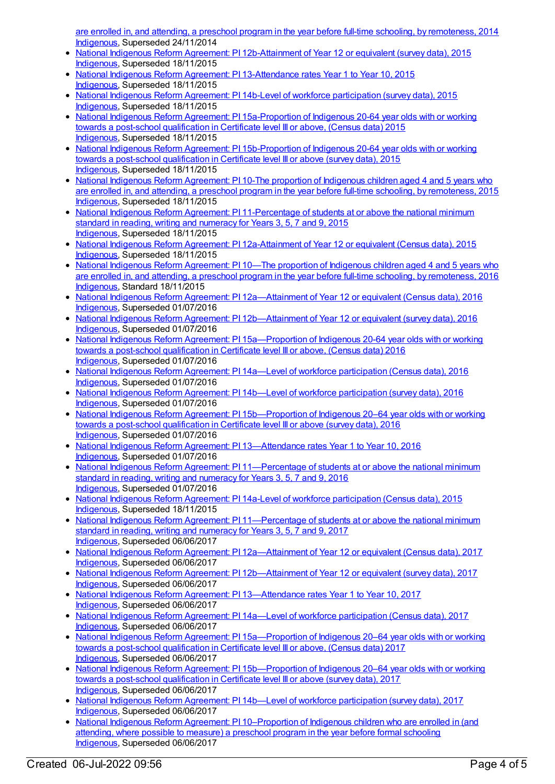are enrolled in, and attending, a preschool program in the year before full-time schooling, by remoteness, 2014 [Indigenous](https://meteor.aihw.gov.au/RegistrationAuthority/6), Superseded 24/11/2014

- National Indigenous Reform Agreement: PI [12b-Attainment](https://meteor.aihw.gov.au/content/579098) of Year 12 or equivalent (survey data), 2015 [Indigenous](https://meteor.aihw.gov.au/RegistrationAuthority/6), Superseded 18/11/2015
- National Indigenous Reform Agreement: PI [13-Attendance](https://meteor.aihw.gov.au/content/579101) rates Year 1 to Year 10, 2015 [Indigenous](https://meteor.aihw.gov.au/RegistrationAuthority/6), Superseded 18/11/2015
- National Indigenous Reform Agreement: PI 14b-Level of workforce [participation](https://meteor.aihw.gov.au/content/579106) (survey data), 2015 [Indigenous](https://meteor.aihw.gov.au/RegistrationAuthority/6), Superseded 18/11/2015
- National Indigenous Reform Agreement: PI [15a-Proportion](https://meteor.aihw.gov.au/content/579108) of Indigenous 20-64 year olds with or working towards a post-school qualification in Certificate level III or above, (Census data) 2015 [Indigenous](https://meteor.aihw.gov.au/RegistrationAuthority/6), Superseded 18/11/2015
- National Indigenous Reform Agreement: PI [15b-Proportion](https://meteor.aihw.gov.au/content/579110) of Indigenous 20-64 year olds with or working towards a post-school qualification in Certificate level III or above (survey data), 2015 [Indigenous](https://meteor.aihw.gov.au/RegistrationAuthority/6), Superseded 18/11/2015
- National Indigenous Reform [Agreement:](https://meteor.aihw.gov.au/content/579083) PI 10-The proportion of Indigenous children aged 4 and 5 years who are enrolled in, and attending, a preschool program in the year before full-time schooling, by remoteness, 2015 [Indigenous](https://meteor.aihw.gov.au/RegistrationAuthority/6), Superseded 18/11/2015
- National Indigenous Reform Agreement: PI [11-Percentage](https://meteor.aihw.gov.au/content/579087) of students at or above the national minimum standard in reading, writing and numeracy for Years 3, 5, 7 and 9, 2015 [Indigenous](https://meteor.aihw.gov.au/RegistrationAuthority/6), Superseded 18/11/2015
- National Indigenous Reform Agreement: PI [12a-Attainment](https://meteor.aihw.gov.au/content/579092) of Year 12 or equivalent (Census data), 2015 [Indigenous](https://meteor.aihw.gov.au/RegistrationAuthority/6), Superseded 18/11/2015
- National Indigenous Reform [Agreement:](https://meteor.aihw.gov.au/content/611186) PI 10—The proportion of Indigenous children aged 4 and 5 years who are enrolled in, and attending, a preschool program in the year before full-time schooling, by remoteness, 2016 [Indigenous](https://meteor.aihw.gov.au/RegistrationAuthority/6), Standard 18/11/2015
- National Indigenous Reform Agreement: PI [12a—Attainment](https://meteor.aihw.gov.au/content/611192) of Year 12 or equivalent (Census data), 2016 [Indigenous](https://meteor.aihw.gov.au/RegistrationAuthority/6), Superseded 01/07/2016
- National Indigenous Reform Agreement: PI [12b—Attainment](https://meteor.aihw.gov.au/content/611195) of Year 12 or equivalent (survey data), 2016 [Indigenous](https://meteor.aihw.gov.au/RegistrationAuthority/6), Superseded 01/07/2016
- National Indigenous Reform Agreement: PI 15a-Proportion of Indigenous 20-64 year olds with or working towards a post-school qualification in Certificate level III or above, (Census data) 2016 [Indigenous](https://meteor.aihw.gov.au/RegistrationAuthority/6), Superseded 01/07/2016
- National Indigenous Reform Agreement: PI 14a—Level of workforce [participation](https://meteor.aihw.gov.au/content/611201) (Census data), 2016 [Indigenous](https://meteor.aihw.gov.au/RegistrationAuthority/6), Superseded 01/07/2016
- National Indigenous Reform Agreement: PI 14b—Level of workforce [participation](https://meteor.aihw.gov.au/content/611204) (survey data), 2016 [Indigenous](https://meteor.aihw.gov.au/RegistrationAuthority/6), Superseded 01/07/2016
- National Indigenous Reform Agreement: PI 15b-Proportion of Indigenous 20-64 year olds with or working towards a post-school qualification in Certificate level III or above (survey data), 2016 [Indigenous](https://meteor.aihw.gov.au/RegistrationAuthority/6), Superseded 01/07/2016
- National Indigenous Reform Agreement: PI [13—Attendance](https://meteor.aihw.gov.au/content/612543) rates Year 1 to Year 10, 2016 [Indigenous](https://meteor.aihw.gov.au/RegistrationAuthority/6), Superseded 01/07/2016
- National Indigenous Reform Agreement: PI [11—Percentage](https://meteor.aihw.gov.au/content/611189) of students at or above the national minimum standard in reading, writing and numeracy for Years 3, 5, 7 and 9, 2016 [Indigenous](https://meteor.aihw.gov.au/RegistrationAuthority/6), Superseded 01/07/2016
- National Indigenous Reform Agreement: PI 14a-Level of workforce [participation](https://meteor.aihw.gov.au/content/579104) (Census data), 2015 [Indigenous](https://meteor.aihw.gov.au/RegistrationAuthority/6), Superseded 18/11/2015
- National Indigenous Reform Agreement: PI [11—Percentage](https://meteor.aihw.gov.au/content/645403) of students at or above the national minimum standard in reading, writing and numeracy for Years 3, 5, 7 and 9, 2017 [Indigenous](https://meteor.aihw.gov.au/RegistrationAuthority/6), Superseded 06/06/2017
- National Indigenous Reform Agreement: PI 12a-Attainment of Year 12 or equivalent (Census data), 2017 [Indigenous](https://meteor.aihw.gov.au/RegistrationAuthority/6), Superseded 06/06/2017
- National Indigenous Reform Agreement: PI [12b—Attainment](https://meteor.aihw.gov.au/content/645407) of Year 12 or equivalent (survey data), 2017 [Indigenous](https://meteor.aihw.gov.au/RegistrationAuthority/6), Superseded 06/06/2017
- National Indigenous Reform Agreement: PI [13—Attendance](https://meteor.aihw.gov.au/content/645410) rates Year 1 to Year 10, 2017 [Indigenous](https://meteor.aihw.gov.au/RegistrationAuthority/6), Superseded 06/06/2017
- National Indigenous Reform Agreement: PI 14a—Level of workforce [participation](https://meteor.aihw.gov.au/content/645412) (Census data), 2017 [Indigenous](https://meteor.aihw.gov.au/RegistrationAuthority/6), Superseded 06/06/2017
- National Indigenous Reform Agreement: PI [15a—Proportion](https://meteor.aihw.gov.au/content/645416) of Indigenous 20–64 year olds with or working towards a post-school qualification in Certificate level III or above, (Census data) 2017 [Indigenous](https://meteor.aihw.gov.au/RegistrationAuthority/6), Superseded 06/06/2017
- National Indigenous Reform Agreement: PI 15b-Proportion of Indigenous 20-64 year olds with or working towards a post-school qualification in Certificate level III or above (survey data), 2017 [Indigenous](https://meteor.aihw.gov.au/RegistrationAuthority/6), Superseded 06/06/2017
- National Indigenous Reform Agreement: PI 14b—Level of workforce [participation](https://meteor.aihw.gov.au/content/645414) (survey data), 2017 [Indigenous](https://meteor.aihw.gov.au/RegistrationAuthority/6), Superseded 06/06/2017
- National Indigenous Reform Agreement: PI [10–Proportion](https://meteor.aihw.gov.au/content/663195) of Indigenous children who are enrolled in (and attending, where possible to measure) a preschool program in the year before formal schooling [Indigenous](https://meteor.aihw.gov.au/RegistrationAuthority/6), Superseded 06/06/2017